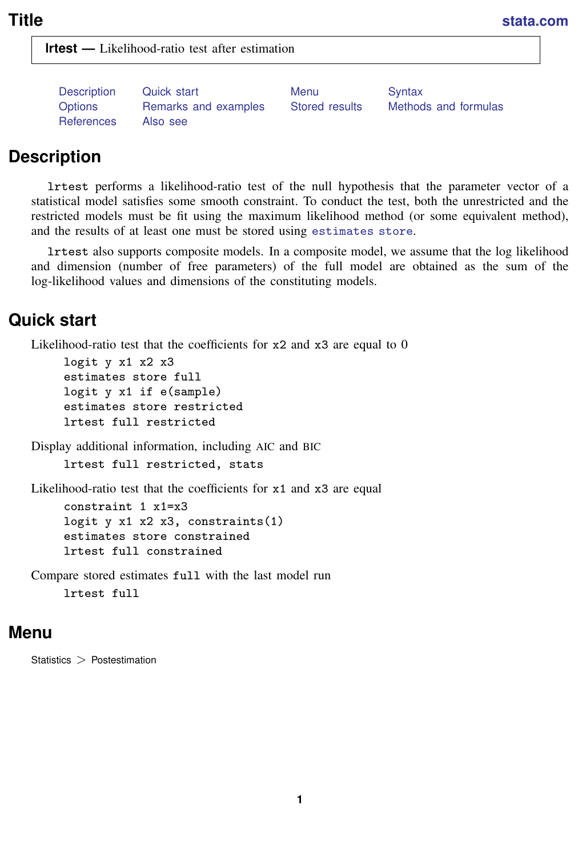<span id="page-0-3"></span>**lrtest —** Likelihood-ratio test after estimation

[References](#page-10-0) [Also see](#page-10-1)

[Description](#page-0-0) [Quick start](#page-0-1) [Menu](#page-0-2) Menu [Options](#page-1-1) [Remarks and examples](#page-1-2) [Stored results](#page-9-0) [Methods and formulas](#page-9-1)

# <span id="page-0-0"></span>**Description**

lrtest performs a likelihood-ratio test of the null hypothesis that the parameter vector of a statistical model satisfies some smooth constraint. To conduct the test, both the unrestricted and the restricted models must be fit using the maximum likelihood method (or some equivalent method), and the results of at least one must be stored using [estimates store](https://www.stata.com/manuals/restimatesstore.pdf#restimatesstore).

<span id="page-0-1"></span>lrtest also supports composite models. In a composite model, we assume that the log likelihood and dimension (number of free parameters) of the full model are obtained as the sum of the log-likelihood values and dimensions of the constituting models.

# **Quick start**

Likelihood-ratio test that the coefficients for  $x2$  and  $x3$  are equal to 0

```
logit y x1 x2 x3
estimates store full
logit y x1 if e(sample)
estimates store restricted
lrtest full restricted
```
Display additional information, including AIC and BIC

lrtest full restricted, stats

Likelihood-ratio test that the coefficients for x1 and x3 are equal constraint 1 x1=x3 logit y x1 x2 x3, constraints(1)

estimates store constrained lrtest full constrained

<span id="page-0-2"></span>Compare stored estimates full with the last model run lrtest full

## **Menu**

Statistics > Postestimation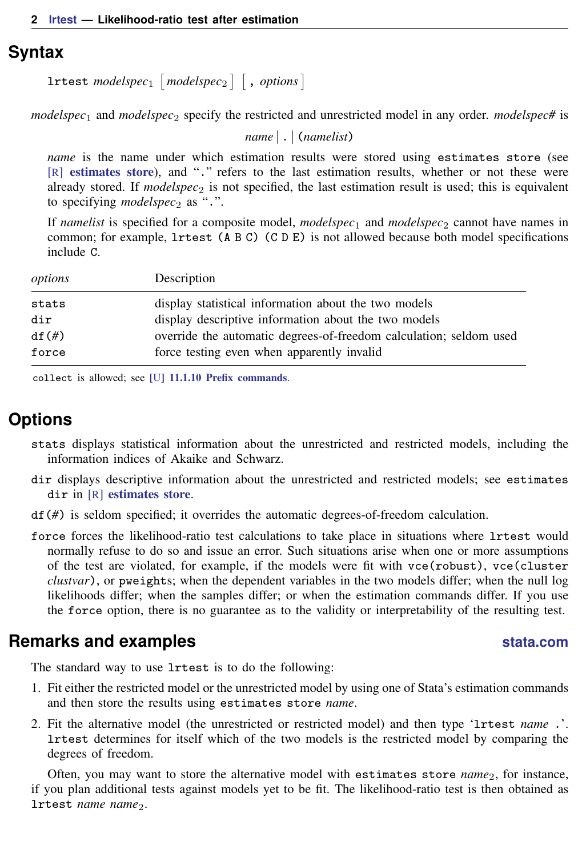## <span id="page-1-0"></span>**Syntax**

 $\mathtt{lrtest}\text{ }modelspec_1\text{ }[\text{ }modelspec_2\text{ }]\text{ }[\text{ },\text{ options}]\text{ }$ 

*modelspec*<sub>1</sub> and *modelspec*<sub>2</sub> specify the restricted and unrestricted model in any order. *modelspec*# is

*name* | . | (*namelist*)

*name* is the name under which estimation results were stored using estimates store (see [R] [estimates store](https://www.stata.com/manuals/restimatesstore.pdf#restimatesstore)), and "." refers to the last estimation results, whether or not these were already stored. If  $modelspec_2$  is not specified, the last estimation result is used; this is equivalent to specifying *modelspec*<sup>2</sup> as ".".

If *namelist* is specified for a composite model,  $modelspec_1$  and  $modelspec_2$  cannot have names in common; for example, lrtest (A B C) (C D E) is not allowed because both model specifications include C.

| options  | Description                                                        |
|----------|--------------------------------------------------------------------|
| stats    | display statistical information about the two models               |
| dir      | display descriptive information about the two models               |
| $df(\#)$ | override the automatic degrees-of-freedom calculation; seldom used |
| force    | force testing even when apparently invalid                         |

<span id="page-1-1"></span>collect is allowed; see [U[\] 11.1.10 Prefix commands](https://www.stata.com/manuals/u11.pdf#u11.1.10Prefixcommands).

# **Options**

- stats displays statistical information about the unrestricted and restricted models, including the information indices of Akaike and Schwarz.
- dir displays descriptive information about the unrestricted and restricted models; see estimates dir in [R] [estimates store](https://www.stata.com/manuals/restimatesstore.pdf#restimatesstore).
- df(*#*) is seldom specified; it overrides the automatic degrees-of-freedom calculation.

force forces the likelihood-ratio test calculations to take place in situations where lrtest would normally refuse to do so and issue an error. Such situations arise when one or more assumptions of the test are violated, for example, if the models were fit with vce(robust), vce(cluster *clustvar*), or pweights; when the dependent variables in the two models differ; when the null log likelihoods differ; when the samples differ; or when the estimation commands differ. If you use the force option, there is no guarantee as to the validity or interpretability of the resulting test.

## <span id="page-1-2"></span>**Remarks and examples [stata.com](http://stata.com)**

The standard way to use lrtest is to do the following:

- 1. Fit either the restricted model or the unrestricted model by using one of Stata's estimation commands and then store the results using estimates store *name*.
- 2. Fit the alternative model (the unrestricted or restricted model) and then type 'lrtest *name* .'. lrtest determines for itself which of the two models is the restricted model by comparing the degrees of freedom.

Often, you may want to store the alternative model with estimates store  $name_2$ , for instance, if you plan additional tests against models yet to be fit. The likelihood-ratio test is then obtained as lrtest *name* name<sub>2</sub>.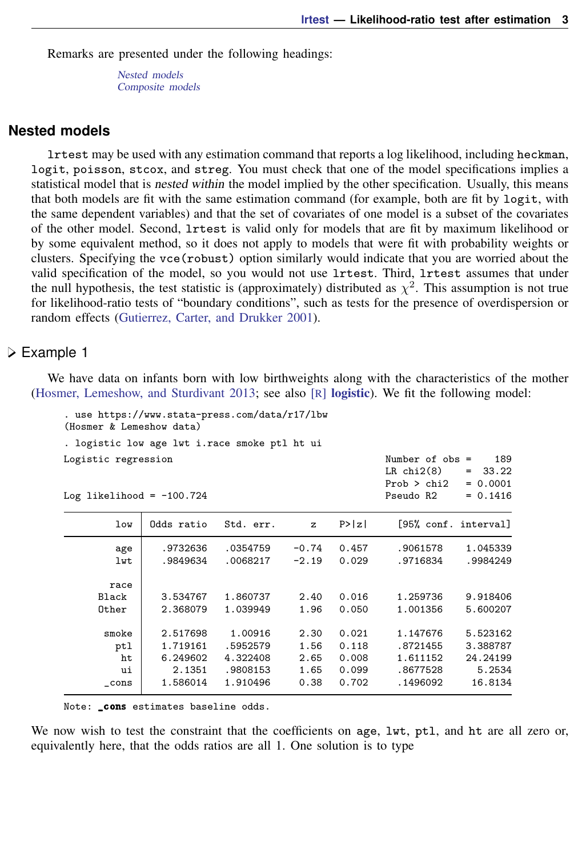Remarks are presented under the following headings:

[Nested models](#page-2-0) [Composite models](#page-6-0)

#### <span id="page-2-0"></span>**Nested models**

lrtest may be used with any estimation command that reports a log likelihood, including heckman, logit, poisson, stcox, and streg. You must check that one of the model specifications implies a statistical model that is nested within the model implied by the other specification. Usually, this means that both models are fit with the same estimation command (for example, both are fit by logit, with the same dependent variables) and that the set of covariates of one model is a subset of the covariates of the other model. Second, lrtest is valid only for models that are fit by maximum likelihood or by some equivalent method, so it does not apply to models that were fit with probability weights or clusters. Specifying the  $vec(robust)$  option similarly would indicate that you are worried about the valid specification of the model, so you would not use lrtest. Third, lrtest assumes that under the null hypothesis, the test statistic is (approximately) distributed as  $\chi^2$ . This assumption is not true for likelihood-ratio tests of "boundary conditions", such as tests for the presence of overdispersion or random effects ([Gutierrez, Carter, and Drukker](#page-10-2) [2001\)](#page-10-2).

#### <span id="page-2-2"></span>Example 1

<span id="page-2-1"></span>We have data on infants born with low birthweights along with the characteristics of the mother [\(Hosmer, Lemeshow, and Sturdivant](#page-10-3) [2013](#page-10-3); see also [R] [logistic](https://www.stata.com/manuals/rlogistic.pdf#rlogistic)). We fit the following model:

. use https://www.stata-press.com/data/r17/lbw (Hosmer & Lemeshow data) . logistic low age lwt i.race smoke ptl ht ui Logistic regression Number of obs = 189

| LOGIS CIC ICAICSSION<br>Log likelihood = $-100.724$ |            |           |              |        | 19.11111.734<br>טשט ביט<br>$LR$ chi $2(8)$<br>Prob > chi2<br>Pseudo R2 | ∸∽<br>33.22<br>$=$<br>$= 0.0001$<br>$= 0.1416$ |
|-----------------------------------------------------|------------|-----------|--------------|--------|------------------------------------------------------------------------|------------------------------------------------|
| low                                                 | Odds ratio | Std. err. | $\mathbf{z}$ | P >  z |                                                                        | [95% conf. interval]                           |
| age                                                 | .9732636   | .0354759  | $-0.74$      | 0.457  | .9061578                                                               | 1.045339                                       |
| lwt                                                 | .9849634   | .0068217  | $-2.19$      | 0.029  | .9716834                                                               | .9984249                                       |
| race                                                |            |           |              |        |                                                                        |                                                |
| Black                                               | 3.534767   | 1.860737  | 2.40         | 0.016  | 1.259736                                                               | 9.918406                                       |
| Other                                               | 2.368079   | 1.039949  | 1.96         | 0.050  | 1.001356                                                               | 5.600207                                       |
| smoke                                               | 2.517698   | 1.00916   | 2.30         | 0.021  | 1.147676                                                               | 5.523162                                       |
| ptl                                                 | 1.719161   | .5952579  | 1.56         | 0.118  | .8721455                                                               | 3.388787                                       |
| ht                                                  | 6.249602   | 4.322408  | 2.65         | 0.008  | 1.611152                                                               | 24.24199                                       |
| ui                                                  | 2.1351     | .9808153  | 1.65         | 0.099  | .8677528                                                               | 5.2534                                         |
| $\_cons$                                            | 1.586014   | 1.910496  | 0.38         | 0.702  | .1496092                                                               | 16.8134                                        |

Note: \_cons estimates baseline odds.

We now wish to test the constraint that the coefficients on age, lwt, ptl, and ht are all zero or, equivalently here, that the odds ratios are all 1. One solution is to type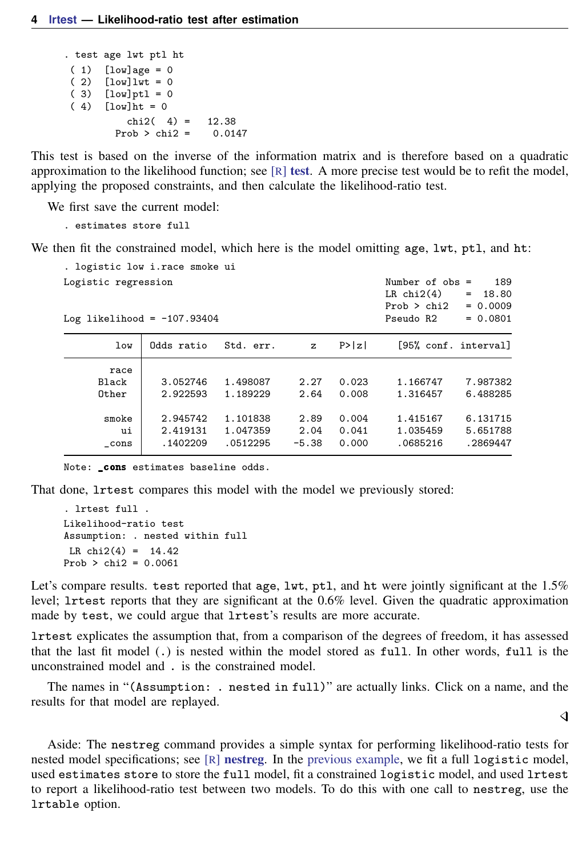```
. test age lwt ptl ht
(1) [low]age = 0
( 2) [low] lwt = 0
 (3) [low]<sup>pt1 = 0</sup>
 (4) [low]ht = 0
             chi2( 4) = 12.38<br>
cob > chi2 = 0.0147
          Prob > chi2 =
```
This test is based on the inverse of the information matrix and is therefore based on a quadratic approximation to the likelihood function; see  $[R]$  [test](https://www.stata.com/manuals/rtest.pdf#rtest). A more precise test would be to refit the model, applying the proposed constraints, and then calculate the likelihood-ratio test.

We first save the current model:

. estimates store full

We then fit the constrained model, which here is the model omitting age, lwt, ptl, and ht:

| . logistic low i.race smoke ui                       |                                  |                                  |                         |                         |                                                                  |                                                 |
|------------------------------------------------------|----------------------------------|----------------------------------|-------------------------|-------------------------|------------------------------------------------------------------|-------------------------------------------------|
| Logistic regression<br>Log likelihood = $-107.93404$ |                                  |                                  |                         |                         | Number of $obs =$<br>$LR$ chi $2(4)$<br>Prob > chi2<br>Pseudo R2 | 189<br>18.80<br>$=$<br>$= 0.0009$<br>$= 0.0801$ |
| 1 <sub>ov</sub>                                      | Odds ratio                       | Std. err.                        | $\mathbf{z}$            | P >  z                  | [95% conf. interval]                                             |                                                 |
| race<br>Black<br>Other                               | 3.052746<br>2.922593             | 1.498087<br>1.189229             | 2.27<br>2.64            | 0.023<br>0.008          | 1.166747<br>1.316457                                             | 7.987382<br>6.488285                            |
| smoke<br>ui<br>cons                                  | 2.945742<br>2.419131<br>.1402209 | 1.101838<br>1.047359<br>.0512295 | 2.89<br>2.04<br>$-5.38$ | 0.004<br>0.041<br>0.000 | 1.415167<br>1.035459<br>.0685216                                 | 6.131715<br>5.651788<br>.2869447                |

Note: \_cons estimates baseline odds.

That done, lrtest compares this model with the model we previously stored:

. lrtest full . Likelihood-ratio test Assumption: . nested within full LR  $chi2(4) = 14.42$  $Prob > chi2 = 0.0061$ 

Let's compare results. test reported that age,  $1wt$ , ptl, and ht were jointly significant at the  $1.5\%$ level; lrtest reports that they are significant at the 0.6% level. Given the quadratic approximation made by test, we could argue that lrtest's results are more accurate.

lrtest explicates the assumption that, from a comparison of the degrees of freedom, it has assessed that the last fit model (.) is nested within the model stored as full. In other words, full is the unconstrained model and . is the constrained model.

The names in "(Assumption: . nested in full)" are actually links. Click on a name, and the results for that model are replayed.

◁

Aside: The nestreg command provides a simple syntax for performing likelihood-ratio tests for nested model specifications; see  $[R]$  [nestreg](https://www.stata.com/manuals/rnestreg.pdf#rnestreg). In the [previous example,](#page-2-1) we fit a full logistic model, used estimates store to store the full model, fit a constrained logistic model, and used lrtest to report a likelihood-ratio test between two models. To do this with one call to nestreg, use the lrtable option.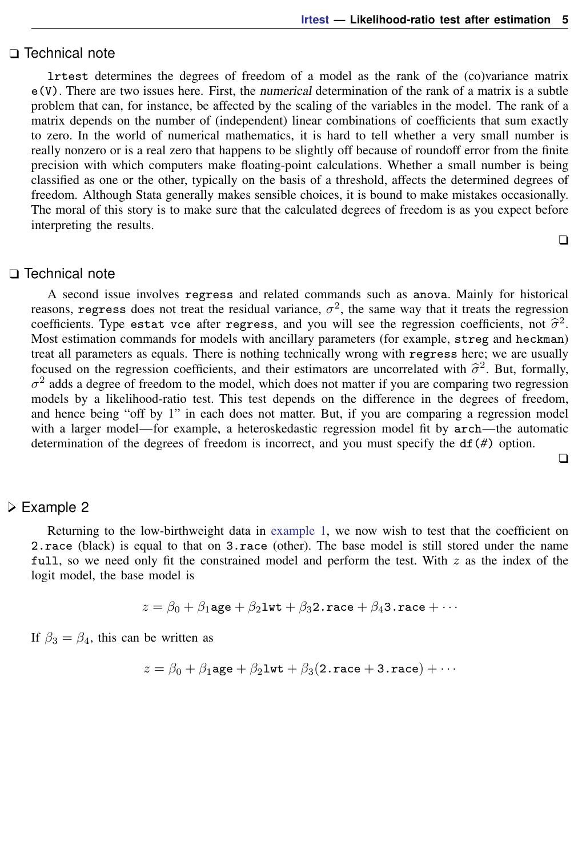#### □ Technical note

lrtest determines the degrees of freedom of a model as the rank of the (co)variance matrix e(V). There are two issues here. First, the numerical determination of the rank of a matrix is a subtle problem that can, for instance, be affected by the scaling of the variables in the model. The rank of a matrix depends on the number of (independent) linear combinations of coefficients that sum exactly to zero. In the world of numerical mathematics, it is hard to tell whether a very small number is really nonzero or is a real zero that happens to be slightly off because of roundoff error from the finite precision with which computers make floating-point calculations. Whether a small number is being classified as one or the other, typically on the basis of a threshold, affects the determined degrees of freedom. Although Stata generally makes sensible choices, it is bound to make mistakes occasionally. The moral of this story is to make sure that the calculated degrees of freedom is as you expect before interpreting the results.

 $\Box$ 

### $\Box$  Technical note

A second issue involves regress and related commands such as anova. Mainly for historical reasons, regress does not treat the residual variance,  $\sigma^2$ , the same way that it treats the regression coefficients. Type estat vce after regress, and you will see the regression coefficients, not  $\hat{\sigma}^2$ .<br>Most estimation commands for models with ancillary parameters (for example streg and beckman) Most estimation commands for models with ancillary parameters (for example, streg and heckman) treat all parameters as equals. There is nothing technically wrong with regress here; we are usually focused on the regression coefficients, and their estimators are uncorrelated with  $\hat{\sigma}^2$ . But, formally,  $\sigma^2$  adds a degree of freedom to the model, which does not matter if you are comparing two regression  $\sigma^2$  adds a degree of freedom to the model, which does not matter if you are comparing two regression models by a likelihood-ratio test. This test depends on the difference in the degrees of freedom, and hence being "off by 1" in each does not matter. But, if you are comparing a regression model with a larger model—for example, a heteroskedastic regression model fit by arch—the automatic determination of the degrees of freedom is incorrect, and you must specify the df(*#*) option.

 $\Box$ 

#### **▷ Example 2**

Returning to the low-birthweight data in [example 1,](#page-2-2) we now wish to test that the coefficient on 2.race (black) is equal to that on 3.race (other). The base model is still stored under the name full, so we need only fit the constrained model and perform the test. With  $z$  as the index of the logit model, the base model is

$$
z = \beta_0 + \beta_1 \texttt{age} + \beta_2 \texttt{1wt} + \beta_3 \texttt{2} \cdot \texttt{race} + \beta_4 \texttt{3} \cdot \texttt{race} + \cdots
$$

If  $\beta_3 = \beta_4$ , this can be written as

$$
z = \beta_0 + \beta_1 \texttt{age} + \beta_2 \texttt{1wt} + \beta_3 (2\texttt{.race} + 3\texttt{.race}) + \cdots
$$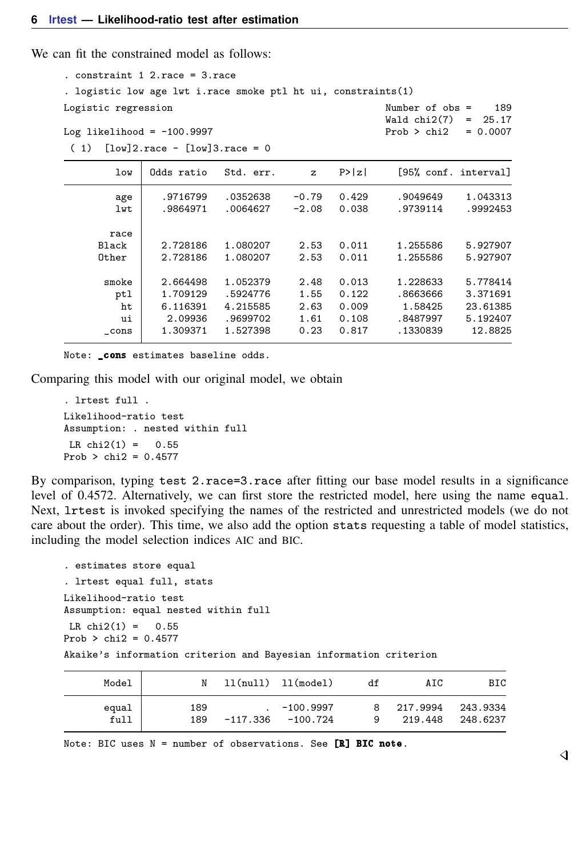We can fit the constrained model as follows:

. constraint 1 2.race = 3.race . logistic low age lwt i.race smoke ptl ht ui, constraints(1) Logistic regression and the Number of obs = 189 Wald chi2(7) =  $25.17$ <br>Prob > chi2 =  $0.0007$ Log likelihood =  $-100.9997$ ( 1) [low]2.race - [low]3.race = 0 low Odds ratio Std. err. z P>|z| [95% conf. interval] age .9716799 .0352638 -0.79 0.429 .9049649 1.043313 lwt .9864971 .0064627 -2.08 0.038 .9739114 .9992453 race Black 2.728186 1.080207 2.53 0.011 1.255586 5.927907 Other 2.728186 1.080207 2.53 0.011 1.255586 5.927907 smoke 2.664498 1.052379 2.48 0.013 1.228633 5.778414 ptl 1.709129 .5924776 1.55 0.122 .8663666 3.371691 ht 6.116391 4.215585 2.63 0.009 1.58425 23.61385 ui 2.09936 .9699702 1.61 0.108 .8487997 5.192407 \_cons 1.309371 1.527398 0.23 0.817 .1330839 12.8825

Note: \_cons estimates baseline odds.

Comparing this model with our original model, we obtain

. lrtest full . Likelihood-ratio test Assumption: . nested within full  $LR \chi (1) = 0.55$ Prob > chi2 = 0.4577

By comparison, typing test 2.race=3.race after fitting our base model results in a significance level of 0.4572. Alternatively, we can first store the restricted model, here using the name equal. Next, lrtest is invoked specifying the names of the restricted and unrestricted models (we do not care about the order). This time, we also add the option stats requesting a table of model statistics, including the model selection indices AIC and BIC.

```
. estimates store equal
. lrtest equal full, stats
Likelihood-ratio test
Assumption: equal nested within full
 LR \text{ chi}(1) = 0.55Prob > chi2 = 0.4577
Akaike's information criterion and Bayesian information criterion
```

| Model         | N          |          | 11(nu11) 11(model)      | df | AIC                   | BIC                  |
|---------------|------------|----------|-------------------------|----|-----------------------|----------------------|
| equal<br>full | 189<br>189 | -117.336 | $-100.9997$<br>-100.724 | q  | 8 217,9994<br>219,448 | 243.9334<br>248.6237 |

Note: BIC uses  $N =$  number of observations. See [R] BIC note.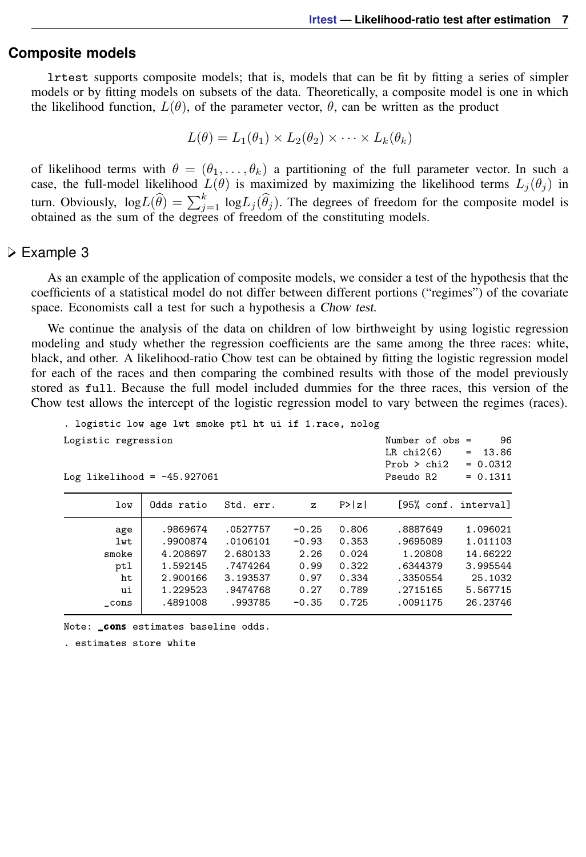#### <span id="page-6-0"></span>**Composite models**

lrtest supports composite models; that is, models that can be fit by fitting a series of simpler models or by fitting models on subsets of the data. Theoretically, a composite model is one in which the likelihood function,  $L(\theta)$ , of the parameter vector,  $\theta$ , can be written as the product

$$
L(\theta) = L_1(\theta_1) \times L_2(\theta_2) \times \cdots \times L_k(\theta_k)
$$

of likelihood terms with  $\theta = (\theta_1, \dots, \theta_k)$  a partitioning of the full parameter vector. In such a case, the full-model likelihood  $L(\theta)$  is maximized by maximizing the likelihood terms  $L_i(\theta_i)$  in turn. Obviously,  $log L(\hat{\theta}) = \sum_{j=1}^{k} log L_j(\hat{\theta}_j)$ . The degrees of freedom for the composite model is obtained as the sum of the degrees of freedom of the constituting models.

#### Example 3

As an example of the application of composite models, we consider a test of the hypothesis that the coefficients of a statistical model do not differ between different portions ("regimes") of the covariate space. Economists call a test for such a hypothesis a Chow test.

We continue the analysis of the data on children of low birthweight by using logistic regression modeling and study whether the regression coefficients are the same among the three races: white, black, and other. A likelihood-ratio Chow test can be obtained by fitting the logistic regression model for each of the races and then comparing the combined results with those of the model previously stored as full. Because the full model included dummies for the three races, this version of the Chow test allows the intercept of the logistic regression model to vary between the regimes (races).

```
. logistic low age lwt smoke ptl ht ui if 1.race, nolog
```

| Logistic regression<br>Log likelihood = $-45.927061$ |            |           |              | Number of $obs =$<br>$LR$ chi $2(6)$<br>Prob > chi2<br>Pseudo R2 | 96<br>13.86<br>$=$<br>$= 0.0312$<br>$= 0.1311$ |                      |
|------------------------------------------------------|------------|-----------|--------------|------------------------------------------------------------------|------------------------------------------------|----------------------|
| low                                                  | Odds ratio | Std. err. | $\mathbf{z}$ | P >  z                                                           |                                                | [95% conf. interval] |
| age                                                  | .9869674   | .0527757  | $-0.25$      | 0.806                                                            | .8887649                                       | 1.096021             |
| lwt                                                  | .9900874   | .0106101  | $-0.93$      | 0.353                                                            | .9695089                                       | 1.011103             |
| smoke                                                | 4.208697   | 2.680133  | 2.26         | 0.024                                                            | 1.20808                                        | 14.66222             |
| ptl                                                  | 1.592145   | .7474264  | 0.99         | 0.322                                                            | .6344379                                       | 3.995544             |
| ht                                                   | 2.900166   | 3.193537  | 0.97         | 0.334                                                            | .3350554                                       | 25.1032              |
| ui                                                   | 1.229523   | .9474768  | 0.27         | 0.789                                                            | .2715165                                       | 5.567715             |
| $\_cons$                                             | .4891008   | .993785   | $-0.35$      | 0.725                                                            | .0091175                                       | 26.23746             |

Note: \_cons estimates baseline odds.

. estimates store white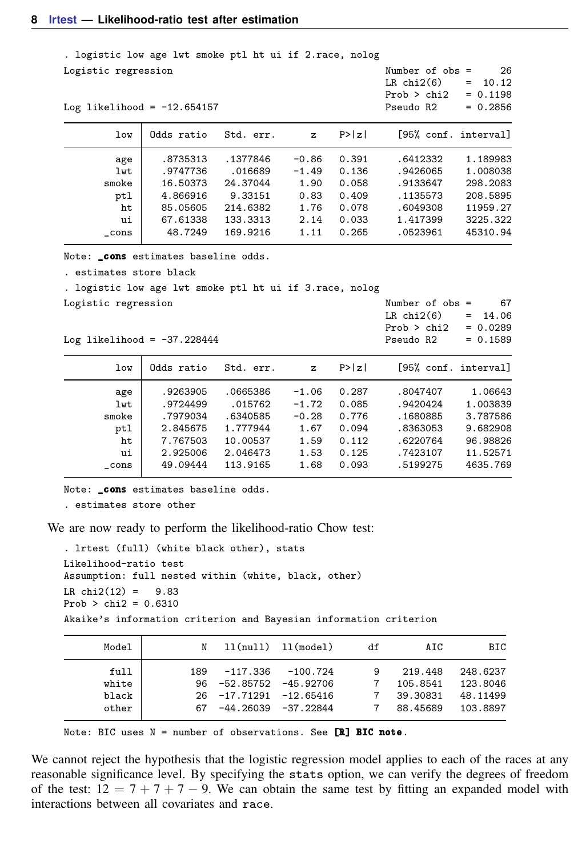| . logistic low age lwt smoke ptl ht ui if 2.race, nolog |            |           |         |        |                                                     |                                  |
|---------------------------------------------------------|------------|-----------|---------|--------|-----------------------------------------------------|----------------------------------|
| Logistic regression                                     |            |           |         |        | Number of $obs =$<br>$LR$ chi $2(6)$<br>Prob > chi2 | 26<br>10.12<br>$=$<br>$= 0.1198$ |
| Log likelihood = $-12.654157$                           |            |           |         |        | Pseudo R2                                           | $= 0.2856$                       |
| low                                                     | Odds ratio | Std. err. | z       | P >  z | [95% conf. interval]                                |                                  |
| age                                                     | .8735313   | .1377846  | $-0.86$ | 0.391  | .6412332                                            | 1.189983                         |
| lwt                                                     | .9747736   | .016689   | $-1.49$ | 0.136  | .9426065                                            | 1.008038                         |
| smoke                                                   | 16.50373   | 24.37044  | 1.90    | 0.058  | .9133647                                            | 298.2083                         |
| ptl                                                     | 4.866916   | 9.33151   | 0.83    | 0.409  | .1135573                                            | 208.5895                         |
| ht                                                      | 85.05605   | 214.6382  | 1.76    | 0.078  | .6049308                                            | 11959.27                         |
| ui                                                      | 67.61338   | 133.3313  | 2.14    | 0.033  | 1.417399                                            | 3225.322                         |
| $_{\rm -cons}$                                          | 48.7249    | 169.9216  | 1.11    | 0.265  | .0523961                                            | 45310.94                         |
| Note: cons estimates baseline odds.                     |            |           |         |        |                                                     |                                  |
| . estimates store black                                 |            |           |         |        |                                                     |                                  |
| . logistic low age lwt smoke ptl ht ui if 3.race, nolog |            |           |         |        |                                                     |                                  |
| Logistic regression                                     |            |           |         |        | Number of $obs =$                                   | 67                               |
|                                                         |            |           |         |        | $LR$ chi $2(6)$                                     | 14.06<br>$=$                     |
|                                                         |            |           |         |        | Prob > chi2                                         | $= 0.0289$                       |
| Log likelihood = $-37.228444$                           |            |           |         |        | Pseudo R2                                           | $= 0.1589$                       |
| low                                                     | Odds ratio | Std. err. | z       | P >  z | [95% conf. interval]                                |                                  |
| age                                                     | .9263905   | .0665386  | $-1.06$ | 0.287  | .8047407                                            | 1.06643                          |
| lwt                                                     | .9724499   | .015762   | $-1.72$ | 0.085  | .9420424                                            | 1.003839                         |
| smoke                                                   | .7979034   | .6340585  | $-0.28$ | 0.776  | .1680885                                            | 3.787586                         |
| ptl                                                     | 2.845675   | 1.777944  | 1.67    | 0.094  | .8363053                                            | 9.682908                         |
| ht                                                      | 7.767503   | 10.00537  | 1.59    | 0.112  | .6220764                                            | 96.98826                         |
| ui                                                      | 2.925006   | 2.046473  | 1.53    | 0.125  | .7423107                                            | 11.52571                         |
| cons                                                    | 49.09444   | 113.9165  | 1.68    | 0.093  | .5199275                                            | 4635.769                         |

Note: \_cons estimates baseline odds.

. estimates store other

We are now ready to perform the likelihood-ratio Chow test:

. lrtest (full) (white black other), stats Likelihood-ratio test Assumption: full nested within (white, black, other) LR  $chi2(12) = 9.83$  $Prob > chi2 = 0.6310$ Akaike's information criterion and Bayesian information criterion

| Model                           | N   |                                                                                                  | 11(nu11) 11(model) | df | AIC                                         | BIC                                          |
|---------------------------------|-----|--------------------------------------------------------------------------------------------------|--------------------|----|---------------------------------------------|----------------------------------------------|
| full<br>white<br>black<br>other | 189 | -117.336<br>$96 - 52.85752 - 45.92706$<br>$26 -17.71291 -12.65416$<br>$67 - 44.26039 - 37.22844$ | $-100.724$         | 9  | 219.448<br>105.8541<br>39.30831<br>88.45689 | 248.6237<br>123.8046<br>48.11499<br>103.8897 |

Note: BIC uses N = number of observations. See [R] BIC note.

We cannot reject the hypothesis that the logistic regression model applies to each of the races at any reasonable significance level. By specifying the stats option, we can verify the degrees of freedom of the test:  $12 = 7 + 7 + 7 - 9$ . We can obtain the same test by fitting an expanded model with interactions between all covariates and race.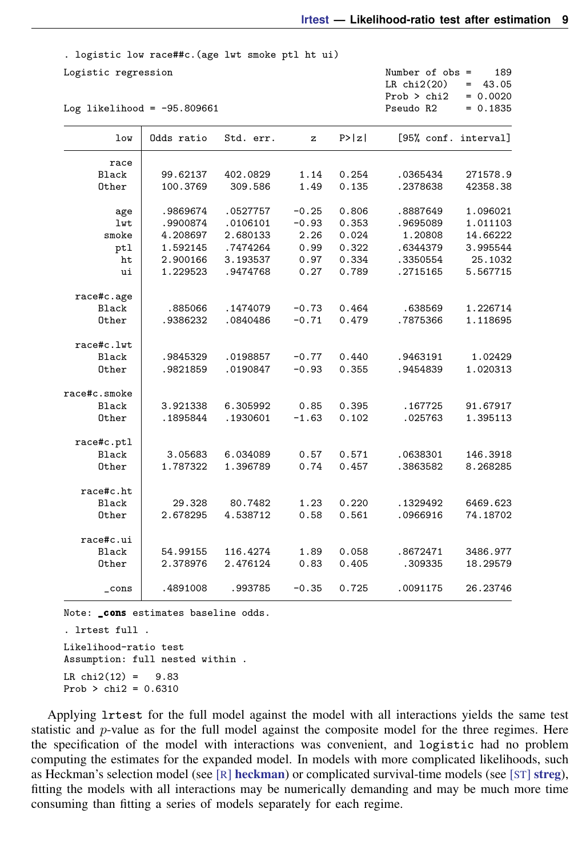. logistic low race##c.(age lwt smoke ptl ht ui) Logistic regression  $\mu$  Number of obs = 189<br>LR chi2(20) = 43.05 LR chi2(20) =  $43.05$ <br>Prob > chi2 = 0.0020 Prob > chi2 =  $0.0020$ <br>Pseudo R2 =  $0.1835$ Log likelihood =  $-95.809661$ low Odds ratio Std. err. z P>|z| [95% conf. interval] race<br>Black Black 99.62137 402.0829 1.14 0.254 .0365434 271578.9 Other 100.3769 309.586 1.49 0.135 .2378638 42358.38 age .9869674 .0527757 -0.25 0.806 .8887649 1.096021 lwt .9900874 .0106101 -0.93 0.353 .9695089 1.011103 smoke 4.208697 2.680133 2.26 0.024 1.20808 14.66222 ptl 1.592145 .7474264 0.99 0.322 .6344379 3.995544 ht 2.900166 3.193537 0.97 0.334 .3350554 25.1032 ui 1.229523 .9474768 0.27 0.789 .2715165 5.567715 race#c.age Black .885066 .1474079 -0.73 0.464 .638569 1.226714 Other .9386232 .0840486 -0.71 0.479 .7875366 1.118695 race#c.lwt Black .9845329 .0198857 -0.77 0.440 .9463191 1.02429 Other .9821859 .0190847 -0.93 0.355 .9454839 1.020313 race#c.smoke Black 3.921338 6.305992 0.85 0.395 .167725 91.67917 Other .1895844 .1930601 -1.63 0.102 .025763 1.395113 race#c.ptl Black 3.05683 6.034089 0.57 0.571 .0638301 146.3918 Other 1.787322 1.396789 0.74 0.457 .3863582 8.268285 race#c.ht Black 29.328 80.7482 1.23 0.220 .1329492 6469.623 Other 2.678295 4.538712 0.58 0.561 .0966916 74.18702 race#c.ui Black 54.99155 116.4274 1.89 0.058 .8672471 3486.977 Other 2.378976 2.476124 0.83 0.405 .309335 18.29579 \_cons .4891008 .993785 -0.35 0.725 .0091175 26.23746

Note: \_cons estimates baseline odds.

. lrtest full . Likelihood-ratio test Assumption: full nested within . LR  $chi2(12) = 9.83$  $Prob > chi2 = 0.6310$ 

Applying lrtest for the full model against the model with all interactions yields the same test statistic and  $p$ -value as for the full model against the composite model for the three regimes. Here the specification of the model with interactions was convenient, and logistic had no problem computing the estimates for the expanded model. In models with more complicated likelihoods, such as Heckman's selection model (see  $[R]$  [heckman](https://www.stata.com/manuals/rheckman.pdf#rheckman)) or complicated survival-time models (see  $[ST]$  [streg](https://www.stata.com/manuals/ststreg.pdf#ststreg)), fitting the models with all interactions may be numerically demanding and may be much more time consuming than fitting a series of models separately for each regime.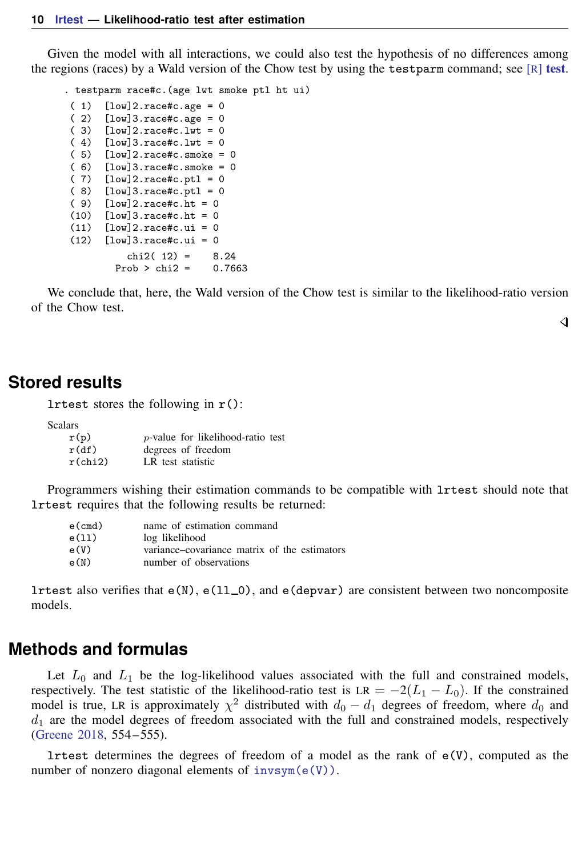Given the model with all interactions, we could also test the hypothesis of no differences among the regions (races) by a Wald version of the Chow [test](https://www.stata.com/manuals/rtest.pdf#rtest) by using the test parm command; see  $[R]$  test.

. testparm race#c.(age lwt smoke ptl ht ui) ( 1)  $[low]2.\text{race} \#c.\text{age} = 0$ <br>( 2)  $[low]3.\text{race} \#c.\text{age} = 0$ ( 2)  $[low]3.\text{race} \#c.\text{age} = 0$ <br>( 3)  $[low]2.\text{race} \#c.\text{lwt} = 0$  $[low]2.\text{race}\#c.\text{lwt} = 0$  $(4)$  [low]3.race#c.lwt = 0 ( 5) [low]2.race#c.smoke = 0  $(6)$  [low]3.race#c.smoke = 0  $(7)$  [low] 2.race#c.ptl = 0  $(8)$  [low]3.race#c.ptl = 0  $(9)$   $[low]$ 2.race#c.ht = 0  $(10)$   $\lceil \text{low} \rceil 3.\text{race} \# \text{c}.\text{ht} = 0$  $(11)$   $[low]$ 2.race#c.ui = 0  $(12)$   $[low]3.read$ + $i.e.,$  $i = 0$ chi2(  $12$ ) = 8.24<br>
cob > chi2 = 0.7663 Prob  $>$  chi2 =

We conclude that, here, the Wald version of the Chow test is similar to the likelihood-ratio version of the Chow test.

◁

## <span id="page-9-0"></span>**Stored results**

lrtest stores the following in  $r()$ :

**Scalars** 

| r(p)       | <i>p</i> -value for likelihood-ratio test |
|------------|-------------------------------------------|
| r(df)      | degrees of freedom                        |
| $r$ (chi2) | LR test statistic                         |

Programmers wishing their estimation commands to be compatible with lrtest should note that lrtest requires that the following results be returned:

| $e$ (cmd) | name of estimation command                   |
|-----------|----------------------------------------------|
| e(11)     | log likelihood                               |
| e(V)      | variance–covariance matrix of the estimators |
| e(N)      | number of observations                       |

<span id="page-9-1"></span>lrtest also verifies that  $e(N)$ ,  $e(11_0)$ , and  $e(depvar)$  are consistent between two noncomposite models.

## **Methods and formulas**

Let  $L_0$  and  $L_1$  be the log-likelihood values associated with the full and constrained models, respectively. The test statistic of the likelihood-ratio test is LR =  $-2(L_1 - L_0)$ . If the constrained model is true, LR is approximately  $\chi^2$  distributed with  $d_0 - d_1$  degrees of freedom, where  $d_0$  and  $d_1$  are the model degrees of freedom associated with the full and constrained models, respectively [\(Greene](#page-10-4) [2018](#page-10-4), 554 – 555).

lrtest determines the degrees of freedom of a model as the rank of  $e(V)$ , computed as the number of nonzero diagonal elements of  $invsym(e(V))$ .